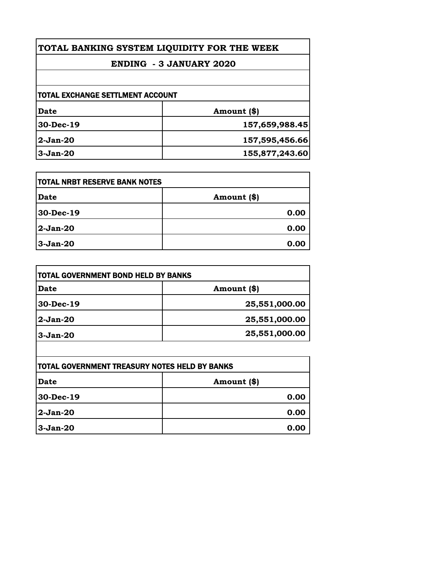| TOTAL BANKING SYSTEM LIQUIDITY FOR THE WEEK<br><b>ENDING - 3 JANUARY 2020</b> |                |
|-------------------------------------------------------------------------------|----------------|
|                                                                               |                |
| <b>TOTAL EXCHANGE SETTLMENT ACCOUNT</b>                                       |                |
| Date                                                                          | Amount (\$)    |
| 30-Dec-19                                                                     | 157,659,988.45 |
| $2-Jan-20$                                                                    | 157,595,456.66 |
| $3-Jan-20$                                                                    | 155,877,243.60 |

| <b>TOTAL NRBT RESERVE BANK NOTES</b> |             |
|--------------------------------------|-------------|
| <b>Date</b>                          | Amount (\$) |
| 30-Dec-19                            | 0.00        |
| $2-Jan-20$                           | 0.00        |
| $3-Jan-20$                           | 0.00        |

| <b>TOTAL GOVERNMENT BOND HELD BY BANKS</b> |               |
|--------------------------------------------|---------------|
| Date                                       | Amount (\$)   |
| 30-Dec-19                                  | 25,551,000.00 |
| $2-Jan-20$                                 | 25,551,000.00 |
| $3-Jan-20$                                 | 25,551,000.00 |
|                                            |               |

| <b>TOTAL GOVERNMENT TREASURY NOTES HELD BY BANKS</b> |               |
|------------------------------------------------------|---------------|
| <b>Date</b>                                          | Amount $(\$)$ |
| 30-Dec-19                                            | 0.00          |
| 2-Jan-20                                             | 0.00          |
| 3-Jan-20                                             | 0.00          |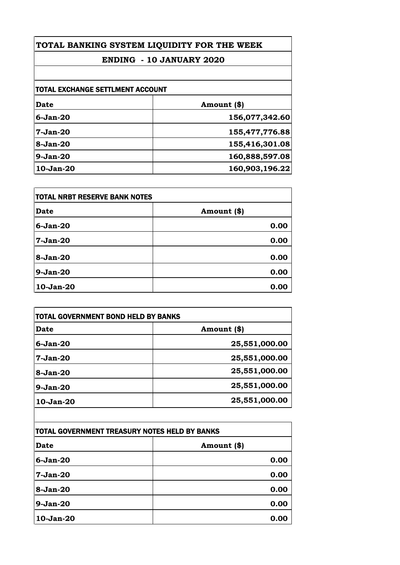# **TOTAL BANKING SYSTEM LIQUIDITY FOR THE WEEK**

## **ENDING - 10 JANUARY 2020**

| <b>TOTAL EXCHANGE SETTLMENT ACCOUNT</b> |                |
|-----------------------------------------|----------------|
| Date                                    | Amount (\$)    |
| $6-Jan-20$                              | 156,077,342.60 |
| $7-Jan-20$                              | 155,477,776.88 |
| $8-Jan-20$                              | 155,416,301.08 |
| $9-Jan-20$                              | 160,888,597.08 |
| $10-Jan-20$                             | 160,903,196.22 |

| <b>TOTAL NRBT RESERVE BANK NOTES</b> |             |
|--------------------------------------|-------------|
| <b>Date</b>                          | Amount (\$) |
| $6-Jan-20$                           | 0.00        |
| $7-Jan-20$                           | 0.00        |
| 8-Jan-20                             | 0.00        |
| $9-Jan-20$                           | 0.00        |
| 10-Jan-20                            | 0.00        |

| <b>TOTAL GOVERNMENT BOND HELD BY BANKS</b> |  |
|--------------------------------------------|--|
| Amount (\$)                                |  |
| 25,551,000.00                              |  |
| 25,551,000.00                              |  |
| 25,551,000.00                              |  |
| 25,551,000.00                              |  |
| 25,551,000.00                              |  |
|                                            |  |

| TOTAL GOVERNMENT TREASURY NOTES HELD BY BANKS |             |
|-----------------------------------------------|-------------|
| <b>Date</b>                                   | Amount (\$) |
| $6-Jan-20$                                    | 0.00        |
| $7-Jan-20$                                    | 0.00        |
| 8-Jan-20                                      | 0.00        |
| $9-Jan-20$                                    | 0.00        |
| 10-Jan-20                                     | 0.00        |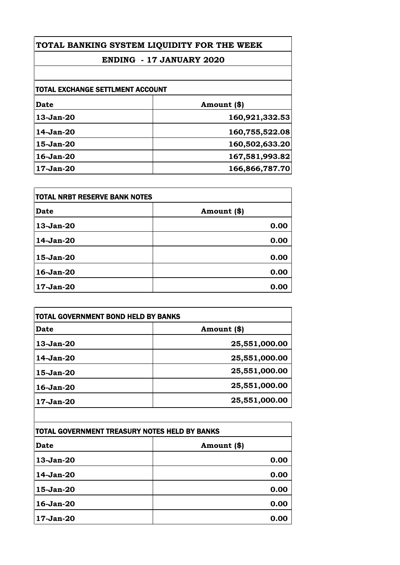## **TOTAL BANKING SYSTEM LIQUIDITY FOR THE WEEK**

## **ENDING - 17 JANUARY 2020**

| <b>TOTAL EXCHANGE SETTLMENT ACCOUNT</b> |                |
|-----------------------------------------|----------------|
| Date                                    | Amount (\$)    |
| $13-Jan-20$                             | 160,921,332.53 |
| 14-Jan-20                               | 160,755,522.08 |
| 15-Jan-20                               | 160,502,633.20 |
| 16-Jan-20                               | 167,581,993.82 |
| 17-Jan-20                               | 166,866,787.70 |

| <b>TOTAL NRBT RESERVE BANK NOTES</b> |             |
|--------------------------------------|-------------|
| <b>Date</b>                          | Amount (\$) |
| 13-Jan-20                            | 0.00        |
| 14-Jan-20                            | 0.00        |
| 15-Jan-20                            | 0.00        |
| 16-Jan-20                            | 0.00        |
| 17-Jan-20                            | 0.00        |

| TOTAL GOVERNMENT BOND HELD BY BANKS |               |
|-------------------------------------|---------------|
| Date                                | Amount (\$)   |
| $13-Jan-20$                         | 25,551,000.00 |
| 14-Jan-20                           | 25,551,000.00 |
| $15$ -Jan- $20$                     | 25,551,000.00 |
| 16-Jan-20                           | 25,551,000.00 |
| $17 - Jan-20$                       | 25,551,000.00 |

| TOTAL GOVERNMENT TREASURY NOTES HELD BY BANKS |             |
|-----------------------------------------------|-------------|
| <b>Date</b>                                   | Amount (\$) |
| 13-Jan-20                                     | 0.00        |
| 14-Jan-20                                     | 0.00        |
| 15-Jan-20                                     | 0.00        |
| 16-Jan-20                                     | 0.00        |
| 17-Jan-20                                     | 0.00        |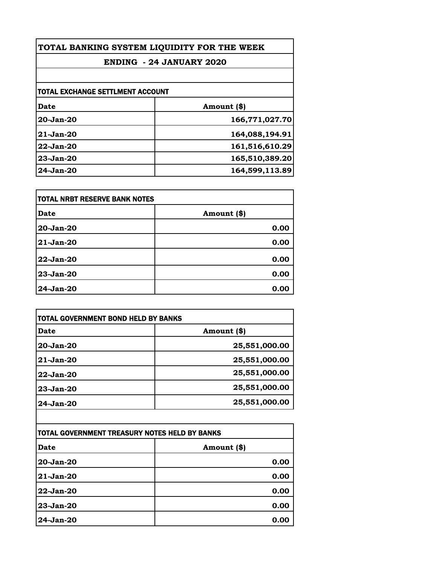| TOTAL BANKING SYSTEM LIQUIDITY FOR THE WEEK<br><b>ENDING - 24 JANUARY 2020</b><br>TOTAL EXCHANGE SETTLMENT ACCOUNT |                |               |                |
|--------------------------------------------------------------------------------------------------------------------|----------------|---------------|----------------|
|                                                                                                                    |                | Date          | Amount (\$)    |
|                                                                                                                    |                | $20 - Jan-20$ | 166,771,027.70 |
|                                                                                                                    |                | $21-Jan-20$   | 164,088,194.91 |
| 22-Jan-20                                                                                                          | 161,516,610.29 |               |                |
| $23-Jan-20$                                                                                                        | 165,510,389.20 |               |                |
| $24$ -Jan- $20$                                                                                                    | 164,599,113.89 |               |                |

| itotal NRBT RESERVE BANK NOTES |             |
|--------------------------------|-------------|
| Date                           | Amount (\$) |
| 20-Jan-20                      | 0.00        |
| 21-Jan-20                      | 0.00        |
| 22-Jan-20                      | 0.00        |
| 23-Jan-20                      | 0.00        |
| 24-Jan-20                      | 0.00        |

| TOTAL GOVERNMENT BOND HELD BY BANKS |               |
|-------------------------------------|---------------|
| Date                                | Amount (\$)   |
| $20 - Jan-20$                       | 25,551,000.00 |
| $21-Jan-20$                         | 25,551,000.00 |
| 22-Jan-20                           | 25,551,000.00 |
| $23 - Jan-20$                       | 25,551,000.00 |
| $24$ -Jan- $20$                     | 25,551,000.00 |

| TOTAL GOVERNMENT TREASURY NOTES HELD BY BANKS |             |
|-----------------------------------------------|-------------|
| Date                                          | Amount (\$) |
| 20-Jan-20                                     | 0.00        |
| 21-Jan-20                                     | 0.00        |
| 22-Jan-20                                     | 0.00        |
| 23-Jan-20                                     | 0.00        |
| 24-Jan-20                                     | 0.00        |